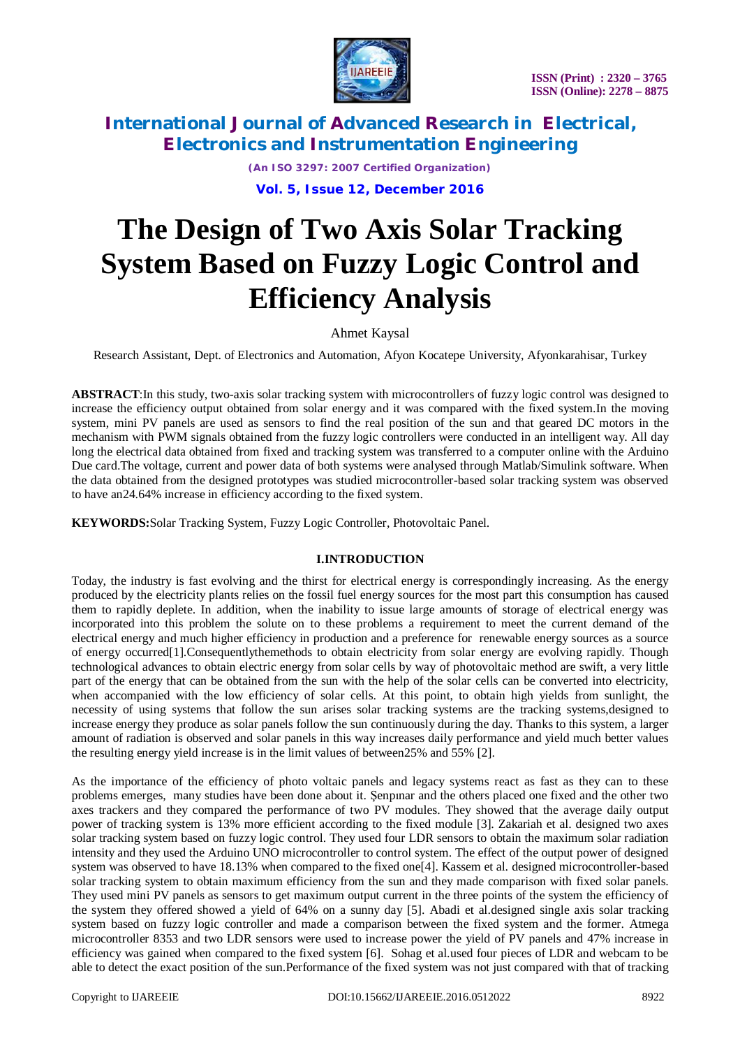

*(An ISO 3297: 2007 Certified Organization)*

**Vol. 5, Issue 12, December 2016**

# **The Design of Two Axis Solar Tracking System Based on Fuzzy Logic Control and Efficiency Analysis**

## Ahmet Kaysal

Research Assistant, Dept. of Electronics and Automation, Afyon Kocatepe University, Afyonkarahisar, Turkey

**ABSTRACT**:In this study, two-axis solar tracking system with microcontrollers of fuzzy logic control was designed to increase the efficiency output obtained from solar energy and it was compared with the fixed system.In the moving system, mini PV panels are used as sensors to find the real position of the sun and that geared DC motors in the mechanism with PWM signals obtained from the fuzzy logic controllers were conducted in an intelligent way. All day long the electrical data obtained from fixed and tracking system was transferred to a computer online with the Arduino Due card.The voltage, current and power data of both systems were analysed through Matlab/Simulink software. When the data obtained from the designed prototypes was studied microcontroller-based solar tracking system was observed to have an24.64% increase in efficiency according to the fixed system.

**KEYWORDS:**Solar Tracking System, Fuzzy Logic Controller, Photovoltaic Panel.

### **I.INTRODUCTION**

Today, the industry is fast evolving and the thirst for electrical energy is correspondingly increasing. As the energy produced by the electricity plants relies on the fossil fuel energy sources for the most part this consumption has caused them to rapidly deplete. In addition, when the inability to issue large amounts of storage of electrical energy was incorporated into this problem the solute on to these problems a requirement to meet the current demand of the electrical energy and much higher efficiency in production and a preference for renewable energy sources as a source of energy occurred[1].Consequentlythemethods to obtain electricity from solar energy are evolving rapidly. Though technological advances to obtain electric energy from solar cells by way of photovoltaic method are swift, a very little part of the energy that can be obtained from the sun with the help of the solar cells can be converted into electricity, when accompanied with the low efficiency of solar cells. At this point, to obtain high yields from sunlight, the necessity of using systems that follow the sun arises solar tracking systems are the tracking systems,designed to increase energy they produce as solar panels follow the sun continuously during the day. Thanks to this system, a larger amount of radiation is observed and solar panels in this way increases daily performance and yield much better values the resulting energy yield increase is in the limit values of between25% and 55% [2].

As the importance of the efficiency of photo voltaic panels and legacy systems react as fast as they can to these problems emerges, many studies have been done about it. Şenpınar and the others placed one fixed and the other two axes trackers and they compared the performance of two PV modules. They showed that the average daily output power of tracking system is 13% more efficient according to the fixed module [3]. Zakariah et al. designed two axes solar tracking system based on fuzzy logic control. They used four LDR sensors to obtain the maximum solar radiation intensity and they used the Arduino UNO microcontroller to control system. The effect of the output power of designed system was observed to have 18.13% when compared to the fixed one[4]. Kassem et al. designed microcontroller-based solar tracking system to obtain maximum efficiency from the sun and they made comparison with fixed solar panels. They used mini PV panels as sensors to get maximum output current in the three points of the system the efficiency of the system they offered showed a yield of 64% on a sunny day [5]. Abadi et al.designed single axis solar tracking system based on fuzzy logic controller and made a comparison between the fixed system and the former. Atmega microcontroller 8353 and two LDR sensors were used to increase power the yield of PV panels and 47% increase in efficiency was gained when compared to the fixed system [6]. Sohag et al.used four pieces of LDR and webcam to be able to detect the exact position of the sun.Performance of the fixed system was not just compared with that of tracking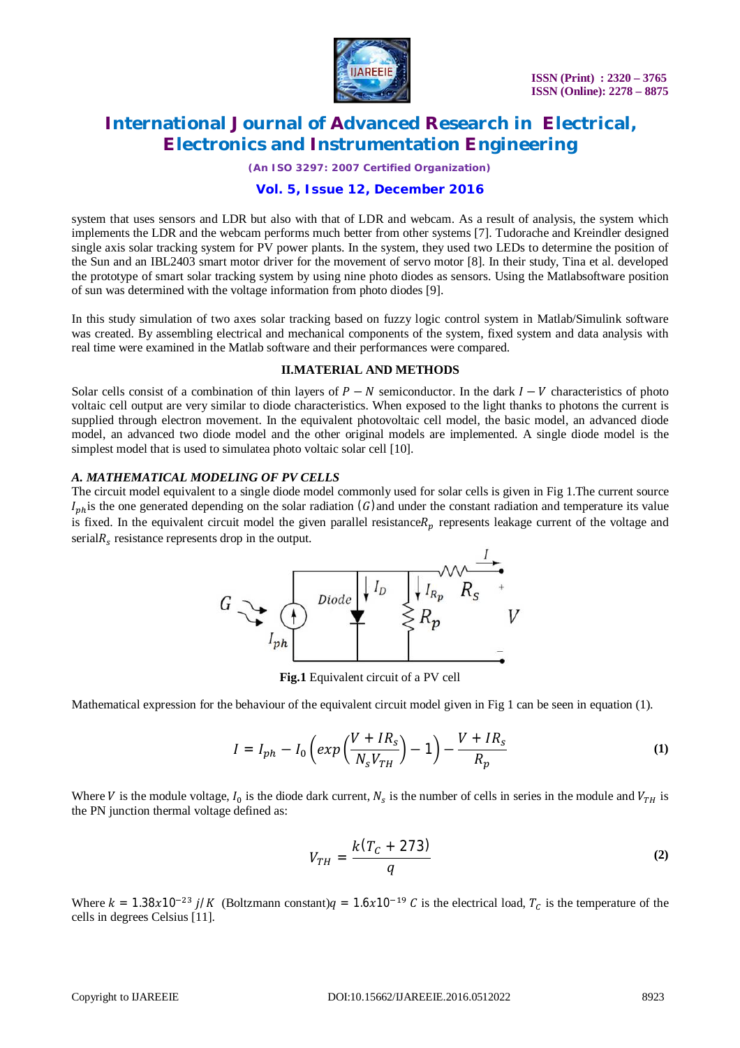

*(An ISO 3297: 2007 Certified Organization)*

### **Vol. 5, Issue 12, December 2016**

system that uses sensors and LDR but also with that of LDR and webcam. As a result of analysis, the system which implements the LDR and the webcam performs much better from other systems [7]. Tudorache and Kreindler designed single axis solar tracking system for PV power plants. In the system, they used two LEDs to determine the position of the Sun and an IBL2403 smart motor driver for the movement of servo motor [8]. In their study, Tina et al. developed the prototype of smart solar tracking system by using nine photo diodes as sensors. Using the Matlabsoftware position of sun was determined with the voltage information from photo diodes [9].

In this study simulation of two axes solar tracking based on fuzzy logic control system in Matlab/Simulink software was created. By assembling electrical and mechanical components of the system, fixed system and data analysis with real time were examined in the Matlab software and their performances were compared.

#### **II.MATERIAL AND METHODS**

Solar cells consist of a combination of thin layers of  $P - N$  semiconductor. In the dark  $I - V$  characteristics of photo voltaic cell output are very similar to diode characteristics. When exposed to the light thanks to photons the current is supplied through electron movement. In the equivalent photovoltaic cell model, the basic model, an advanced diode model, an advanced two diode model and the other original models are implemented. A single diode model is the simplest model that is used to simulatea photo voltaic solar cell [10].

#### *A. MATHEMATICAL MODELING OF PV CELLS*

The circuit model equivalent to a single diode model commonly used for solar cells is given in Fig 1.The current source  $I_{ph}$  is the one generated depending on the solar radiation (G) and under the constant radiation and temperature its value is fixed. In the equivalent circuit model the given parallel resistance  $R_n$  represents leakage current of the voltage and serial $R_s$  resistance represents drop in the output.



**Fig.1** Equivalent circuit of a PV cell

Mathematical expression for the behaviour of the equivalent circuit model given in Fig 1 can be seen in equation (1).

$$
I = I_{ph} - I_0 \left( exp\left(\frac{V + IR_s}{N_s V_{TH}}\right) - 1\right) - \frac{V + IR_s}{R_p} \tag{1}
$$

Where V is the module voltage,  $I_0$  is the diode dark current,  $N_s$  is the number of cells in series in the module and  $V_{TH}$  is the PN junction thermal voltage defined as:

$$
V_{TH} = \frac{k(T_c + 273)}{q}
$$
 (2)

Where  $k = 1.38x10^{-23} j/K$  (Boltzmann constant) $q = 1.6x10^{-19} C$  is the electrical load,  $T_c$  is the temperature of the cells in degrees Celsius [11].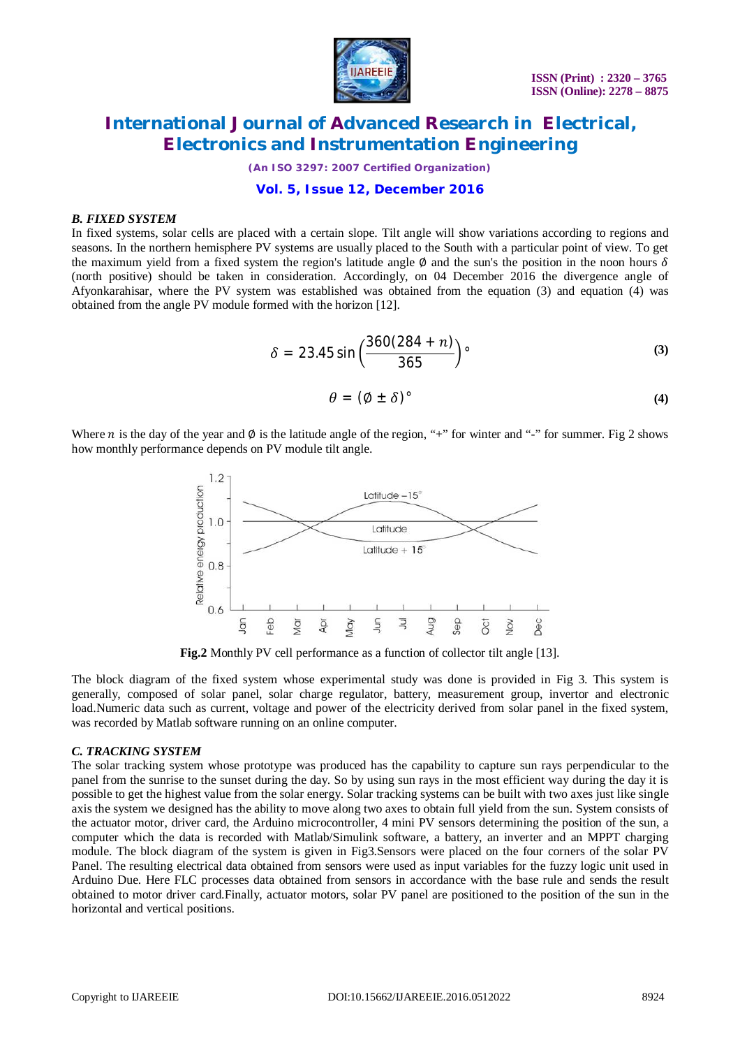

*(An ISO 3297: 2007 Certified Organization)*

### **Vol. 5, Issue 12, December 2016**

#### *B. FIXED SYSTEM*

In fixed systems, solar cells are placed with a certain slope. Tilt angle will show variations according to regions and seasons. In the northern hemisphere PV systems are usually placed to the South with a particular point of view. To get the maximum yield from a fixed system the region's latitude angle Ø and the sun's the position in the noon hours  $\delta$ (north positive) should be taken in consideration. Accordingly, on 04 December 2016 the divergence angle of Afyonkarahisar, where the PV system was established was obtained from the equation (3) and equation (4) was obtained from the angle PV module formed with the horizon [12].

$$
\delta = 23.45 \sin \left( \frac{360(284 + n)}{365} \right) \tag{3}
$$

$$
\theta = (\emptyset \pm \delta)^{\circ} \tag{4}
$$

Where *n* is the day of the year and  $\emptyset$  is the latitude angle of the region, "+" for winter and "-" for summer. Fig 2 shows how monthly performance depends on PV module tilt angle.



**Fig.2** Monthly PV cell performance as a function of collector tilt angle [13].

The block diagram of the fixed system whose experimental study was done is provided in Fig 3. This system is generally, composed of solar panel, solar charge regulator, battery, measurement group, invertor and electronic load.Numeric data such as current, voltage and power of the electricity derived from solar panel in the fixed system, was recorded by Matlab software running on an online computer.

#### *C. TRACKING SYSTEM*

The solar tracking system whose prototype was produced has the capability to capture sun rays perpendicular to the panel from the sunrise to the sunset during the day. So by using sun rays in the most efficient way during the day it is possible to get the highest value from the solar energy. Solar tracking systems can be built with two axes just like single axis the system we designed has the ability to move along two axes to obtain full yield from the sun. System consists of the actuator motor, driver card, the Arduino microcontroller, 4 mini PV sensors determining the position of the sun, a computer which the data is recorded with Matlab/Simulink software, a battery, an inverter and an MPPT charging module. The block diagram of the system is given in Fig3.Sensors were placed on the four corners of the solar PV Panel. The resulting electrical data obtained from sensors were used as input variables for the fuzzy logic unit used in Arduino Due. Here FLC processes data obtained from sensors in accordance with the base rule and sends the result obtained to motor driver card.Finally, actuator motors, solar PV panel are positioned to the position of the sun in the horizontal and vertical positions.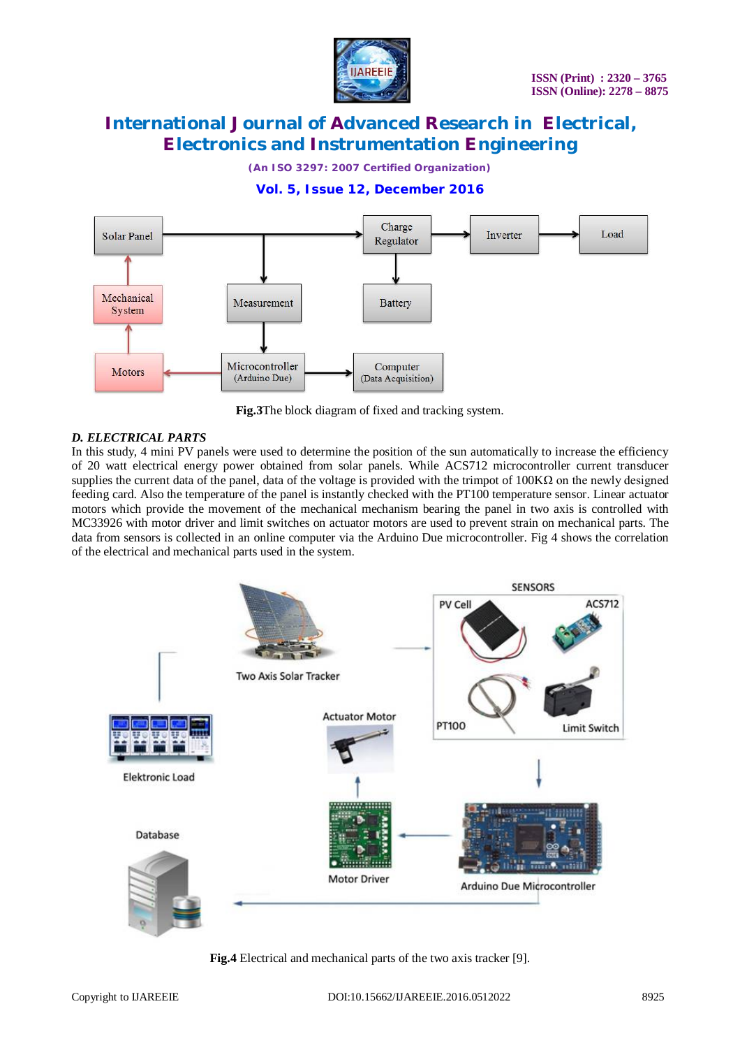

*(An ISO 3297: 2007 Certified Organization)*

### **Vol. 5, Issue 12, December 2016**



**Fig.3**The block diagram of fixed and tracking system.

#### *D. ELECTRICAL PARTS*

In this study, 4 mini PV panels were used to determine the position of the sun automatically to increase the efficiency of 20 watt electrical energy power obtained from solar panels. While ACS712 microcontroller current transducer supplies the current data of the panel, data of the voltage is provided with the trimpot of  $100K\Omega$  on the newly designed feeding card. Also the temperature of the panel is instantly checked with the PT100 temperature sensor. Linear actuator motors which provide the movement of the mechanical mechanism bearing the panel in two axis is controlled with MC33926 with motor driver and limit switches on actuator motors are used to prevent strain on mechanical parts. The data from sensors is collected in an online computer via the Arduino Due microcontroller. Fig 4 shows the correlation of the electrical and mechanical parts used in the system.



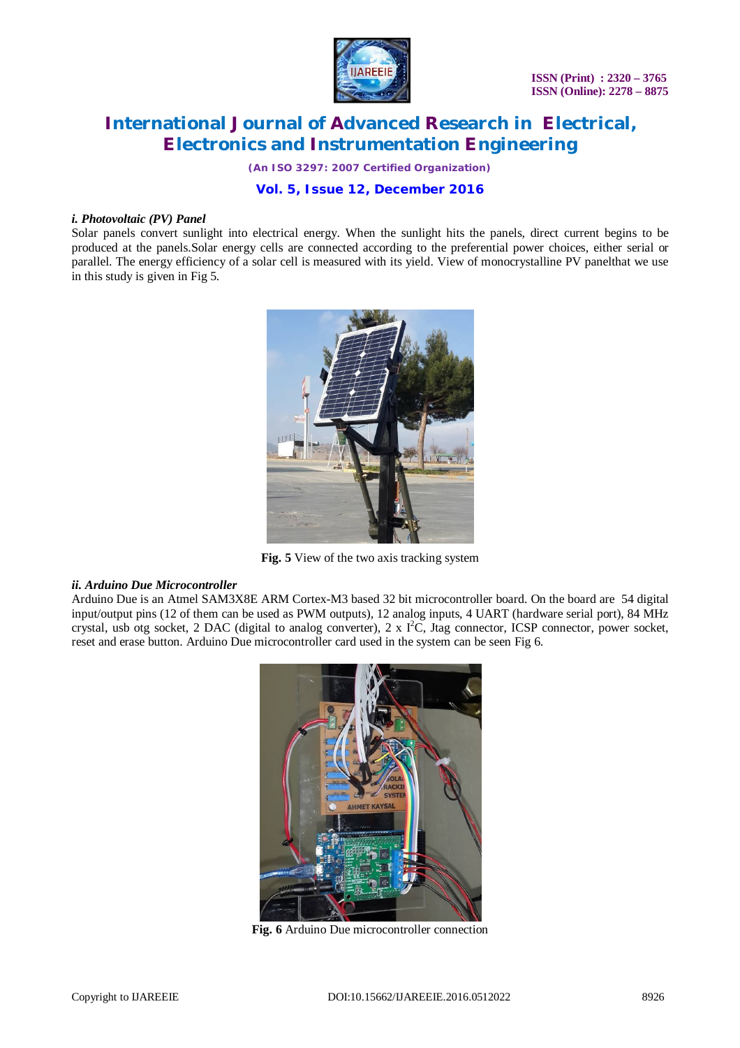

*(An ISO 3297: 2007 Certified Organization)*

### **Vol. 5, Issue 12, December 2016**

#### *i. Photovoltaic (PV) Panel*

Solar panels convert sunlight into electrical energy. When the sunlight hits the panels, direct current begins to be produced at the panels.Solar energy cells are connected according to the preferential power choices, either serial or parallel. The energy efficiency of a solar cell is measured with its yield. View of monocrystalline PV panelthat we use in this study is given in Fig 5.



**Fig. 5** View of the two axis tracking system

#### *ii. Arduino Due Microcontroller*

Arduino Due is an Atmel SAM3X8E ARM Cortex-M3 based 32 bit microcontroller board. On the board are 54 digital input/output pins (12 of them can be used as PWM outputs), 12 analog inputs, 4 UART (hardware serial port), 84 MHz crystal, usb otg socket, 2 DAC (digital to analog converter), 2 x  $I^2C$ , Jtag connector, ICSP connector, power socket, reset and erase button. Arduino Due microcontroller card used in the system can be seen Fig 6.



**Fig. 6** Arduino Due microcontroller connection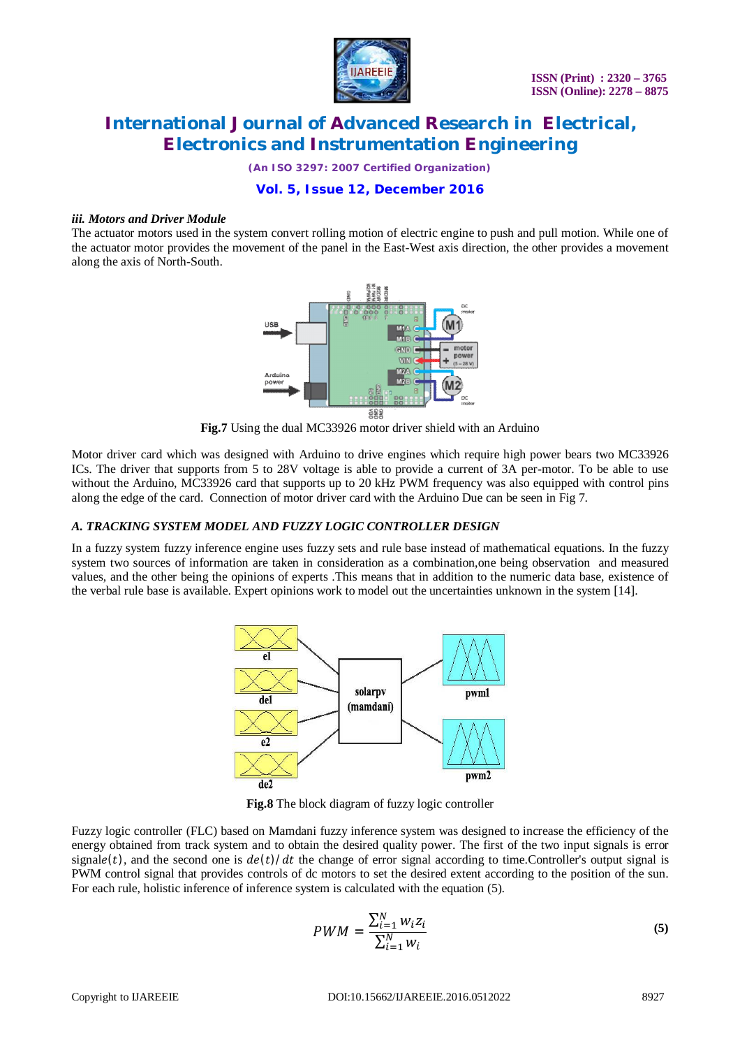

*(An ISO 3297: 2007 Certified Organization)*

### **Vol. 5, Issue 12, December 2016**

#### *iii. Motors and Driver Module*

The actuator motors used in the system convert rolling motion of electric engine to push and pull motion. While one of the actuator motor provides the movement of the panel in the East-West axis direction, the other provides a movement along the axis of North-South.



**Fig.7** Using the dual MC33926 motor driver shield with an Arduino

Motor driver card which was designed with Arduino to drive engines which require high power bears two MC33926 ICs. The driver that supports from 5 to 28V voltage is able to provide a current of 3A per-motor. To be able to use without the Arduino, MC33926 card that supports up to 20 kHz PWM frequency was also equipped with control pins along the edge of the card. Connection of motor driver card with the Arduino Due can be seen in Fig 7.

### *A. TRACKING SYSTEM MODEL AND FUZZY LOGIC CONTROLLER DESIGN*

In a fuzzy system fuzzy inference engine uses fuzzy sets and rule base instead of mathematical equations. In the fuzzy system two sources of information are taken in consideration as a combination,one being observation and measured values, and the other being the opinions of experts .This means that in addition to the numeric data base, existence of the verbal rule base is available. Expert opinions work to model out the uncertainties unknown in the system [14].



**Fig.8** The block diagram of fuzzy logic controller

Fuzzy logic controller (FLC) based on Mamdani fuzzy inference system was designed to increase the efficiency of the energy obtained from track system and to obtain the desired quality power. The first of the two input signals is error signale(t), and the second one is  $de(t)/dt$  the change of error signal according to time. Controller's output signal is PWM control signal that provides controls of dc motors to set the desired extent according to the position of the sun. For each rule, holistic inference of inference system is calculated with the equation (5).

$$
PWM = \frac{\sum_{i=1}^{N} w_i z_i}{\sum_{i=1}^{N} w_i}
$$
 (5)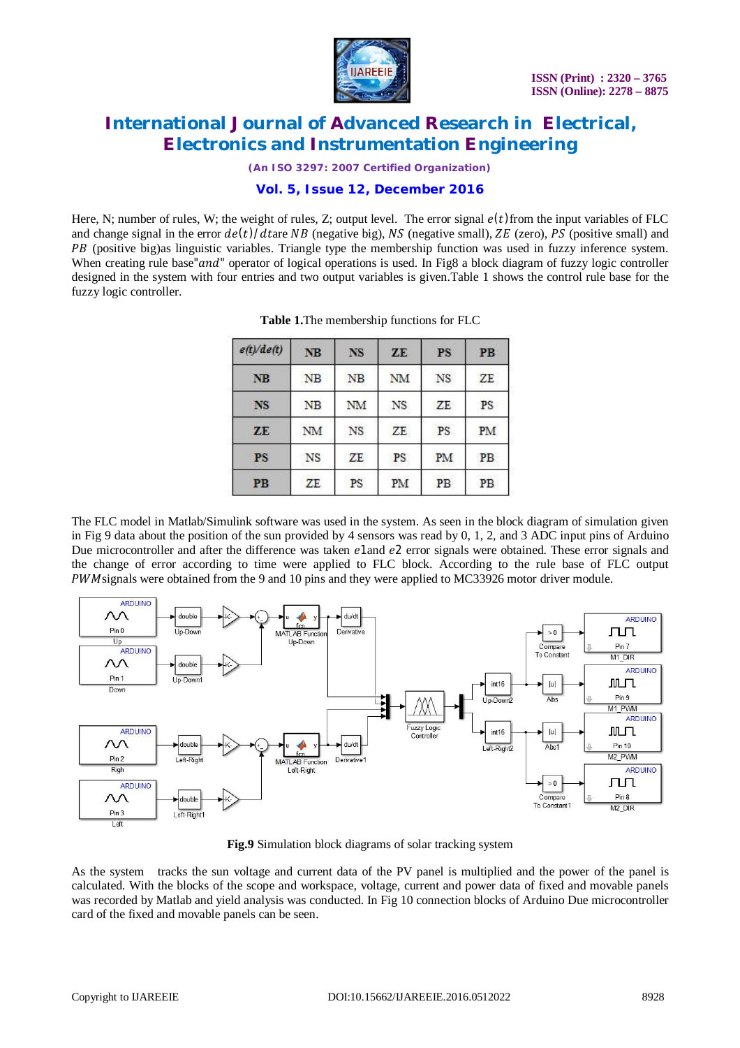

*(An ISO 3297: 2007 Certified Organization)*

### **Vol. 5, Issue 12, December 2016**

Here, N; number of rules, W; the weight of rules, Z; output level. The error signal  $e(t)$  from the input variables of FLC and change signal in the error  $de(t)/dt$ are NB (negative big), NS (negative small), ZE (zero), PS (positive small) and PB (positive big)as linguistic variables. Triangle type the membership function was used in fuzzy inference system. When creating rule base" and" operator of logical operations is used. In Fig8 a block diagram of fuzzy logic controller designed in the system with four entries and two output variables is given.Table 1 shows the control rule base for the fuzzy logic controller.

| e(t)/de(t) | <b>NB</b> | <b>NS</b> | ZE | <b>PS</b> | P <sub>B</sub> |
|------------|-----------|-----------|----|-----------|----------------|
| NB         | NB        | <b>NB</b> | NM | NS        | ZE             |
| <b>NS</b>  | NB        | NM        | NS | ZE        | PS             |
| ZE         | NM        | NS        | ZE | PS        | PM             |
| <b>PS</b>  | NS        | ZE        | PS | PM        | PB             |
| <b>PB</b>  | ZE        | PS        | PM | PB        | PB             |

**Table 1.**The membership functions for FLC

The FLC model in Matlab/Simulink software was used in the system. As seen in the block diagram of simulation given in Fig 9 data about the position of the sun provided by 4 sensors was read by 0, 1, 2, and 3 ADC input pins of Arduino Due microcontroller and after the difference was taken e1and e2 error signals were obtained. These error signals and the change of error according to time were applied to FLC block. According to the rule base of FLC output PWM signals were obtained from the 9 and 10 pins and they were applied to MC33926 motor driver module.



**Fig.9** Simulation block diagrams of solar tracking system

As the system tracks the sun voltage and current data of the PV panel is multiplied and the power of the panel is calculated. With the blocks of the scope and workspace, voltage, current and power data of fixed and movable panels was recorded by Matlab and yield analysis was conducted. In Fig 10 connection blocks of Arduino Due microcontroller card of the fixed and movable panels can be seen.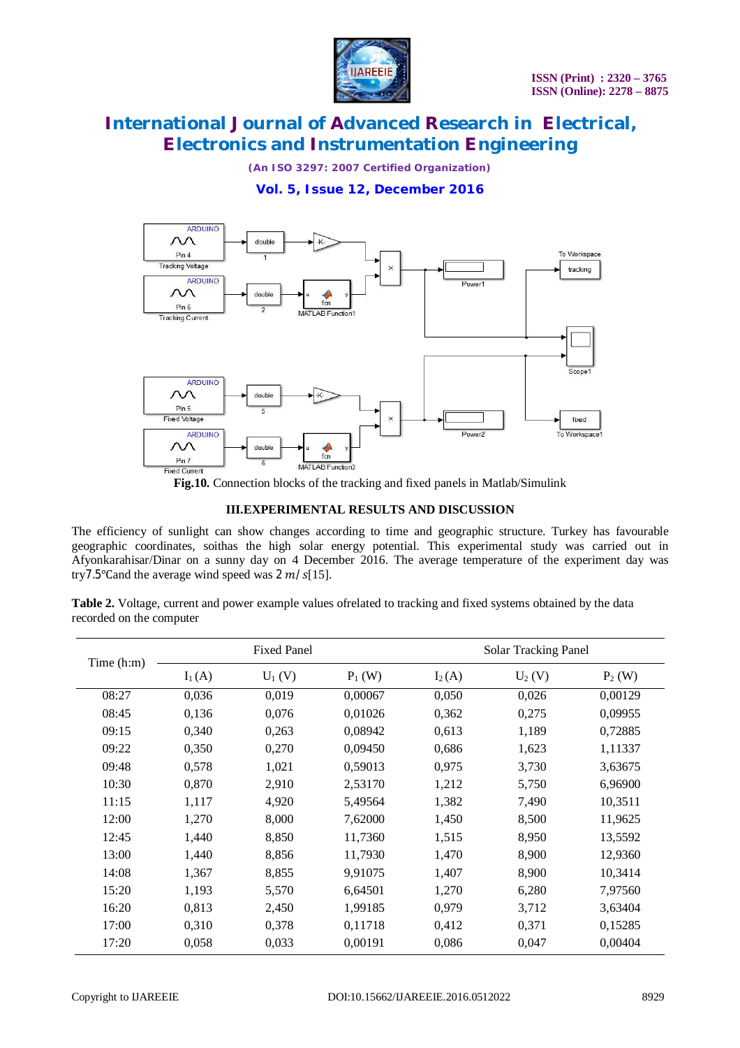

*(An ISO 3297: 2007 Certified Organization)*

**Vol. 5, Issue 12, December 2016**



**Fig.10.** Connection blocks of the tracking and fixed panels in Matlab/Simulink

#### **III.EXPERIMENTAL RESULTS AND DISCUSSION**

The efficiency of sunlight can show changes according to time and geographic structure. Turkey has favourable geographic coordinates, soithas the high solar energy potential. This experimental study was carried out in Afyonkarahisar/Dinar on a sunny day on 4 December 2016. The average temperature of the experiment day was try7.5°Cand the average wind speed was  $2 m/s$ [15].

**Table 2.** Voltage, current and power example values ofrelated to tracking and fixed systems obtained by the data recorded on the computer

| Time $(h:m)$ | <b>Fixed Panel</b> |          |          | <b>Solar Tracking Panel</b> |           |          |
|--------------|--------------------|----------|----------|-----------------------------|-----------|----------|
|              | $I_1(A)$           | $U_1(V)$ | $P_1(W)$ | $I_2(A)$                    | $U_2$ (V) | $P_2(W)$ |
| 08:27        | 0,036              | 0,019    | 0,00067  | 0,050                       | 0,026     | 0,00129  |
| 08:45        | 0,136              | 0,076    | 0,01026  | 0,362                       | 0,275     | 0,09955  |
| 09:15        | 0,340              | 0,263    | 0,08942  | 0,613                       | 1,189     | 0,72885  |
| 09:22        | 0,350              | 0,270    | 0,09450  | 0,686                       | 1,623     | 1,11337  |
| 09:48        | 0,578              | 1,021    | 0,59013  | 0,975                       | 3,730     | 3,63675  |
| 10:30        | 0,870              | 2,910    | 2,53170  | 1,212                       | 5,750     | 6,96900  |
| 11:15        | 1,117              | 4,920    | 5,49564  | 1,382                       | 7,490     | 10,3511  |
| 12:00        | 1,270              | 8,000    | 7,62000  | 1,450                       | 8,500     | 11,9625  |
| 12:45        | 1,440              | 8,850    | 11,7360  | 1,515                       | 8,950     | 13,5592  |
| 13:00        | 1,440              | 8,856    | 11,7930  | 1,470                       | 8,900     | 12,9360  |
| 14:08        | 1,367              | 8,855    | 9,91075  | 1,407                       | 8,900     | 10,3414  |
| 15:20        | 1,193              | 5,570    | 6,64501  | 1,270                       | 6,280     | 7,97560  |
| 16:20        | 0,813              | 2,450    | 1,99185  | 0,979                       | 3,712     | 3,63404  |
| 17:00        | 0,310              | 0,378    | 0,11718  | 0,412                       | 0,371     | 0,15285  |
| 17:20        | 0,058              | 0,033    | 0,00191  | 0,086                       | 0,047     | 0,00404  |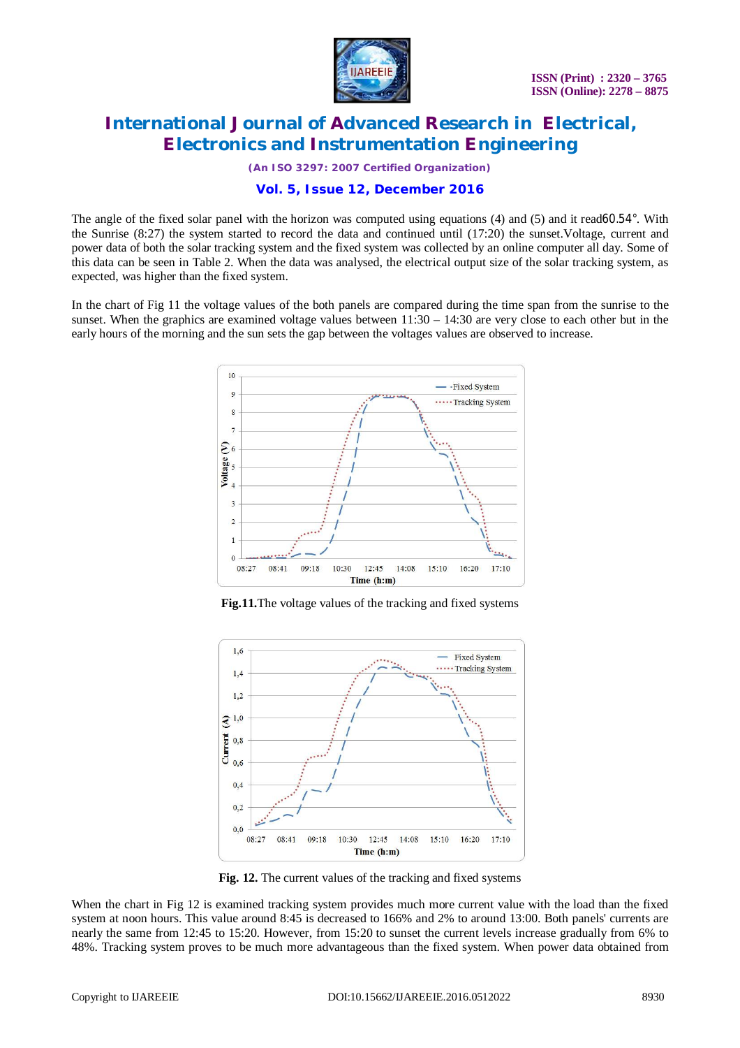

*(An ISO 3297: 2007 Certified Organization)*

### **Vol. 5, Issue 12, December 2016**

The angle of the fixed solar panel with the horizon was computed using equations (4) and (5) and it read60.54°. With the Sunrise (8:27) the system started to record the data and continued until (17:20) the sunset.Voltage, current and power data of both the solar tracking system and the fixed system was collected by an online computer all day. Some of this data can be seen in Table 2. When the data was analysed, the electrical output size of the solar tracking system, as expected, was higher than the fixed system.

In the chart of Fig 11 the voltage values of the both panels are compared during the time span from the sunrise to the sunset. When the graphics are examined voltage values between  $11:30 - 14:30$  are very close to each other but in the early hours of the morning and the sun sets the gap between the voltages values are observed to increase.



**Fig.11.**The voltage values of the tracking and fixed systems



**Fig. 12.** The current values of the tracking and fixed systems

When the chart in Fig 12 is examined tracking system provides much more current value with the load than the fixed system at noon hours. This value around 8:45 is decreased to 166% and 2% to around 13:00. Both panels' currents are nearly the same from 12:45 to 15:20. However, from 15:20 to sunset the current levels increase gradually from 6% to 48%. Tracking system proves to be much more advantageous than the fixed system. When power data obtained from